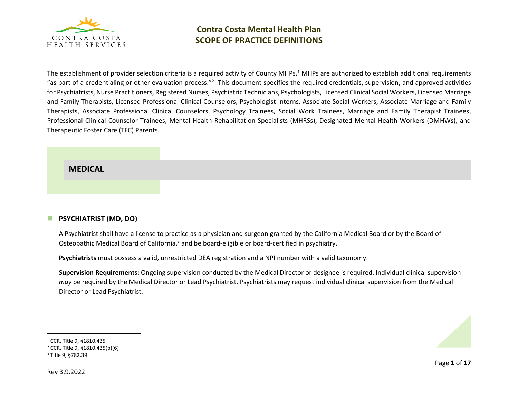

The establishment of provider selection criteria is a required activity of County MHPs.<sup>1</sup> MHPs are authorized to establish additional requirements "as part of a credentialing or other evaluation process."<sup>2</sup> This document specifies the required credentials, supervision, and approved activities for Psychiatrists, Nurse Practitioners, Registered Nurses, Psychiatric Technicians, Psychologists, Licensed Clinical Social Workers, Licensed Marriage and Family Therapists, Licensed Professional Clinical Counselors, Psychologist Interns, Associate Social Workers, Associate Marriage and Family Therapists, Associate Professional Clinical Counselors, Psychology Trainees, Social Work Trainees, Marriage and Family Therapist Trainees, Professional Clinical Counselor Trainees, Mental Health Rehabilitation Specialists (MHRSs), Designated Mental Health Workers (DMHWs), and Therapeutic Foster Care (TFC) Parents.

# **MEDICAL**

# ◼ **PSYCHIATRIST (MD, DO)**

A Psychiatrist shall have a license to practice as a physician and surgeon granted by the California Medical Board or by the Board of Osteopathic Medical Board of California,<sup>3</sup> and be board-eligible or board-certified in psychiatry.

**Psychiatrists** must possess a valid, unrestricted DEA registration and a NPI number with a valid taxonomy.

**Supervision Requirements:** Ongoing supervision conducted by the Medical Director or designee is required. Individual clinical supervision *may* be required by the Medical Director or Lead Psychiatrist. Psychiatrists may request individual clinical supervision from the Medical Director or Lead Psychiatrist.



<sup>1</sup> CCR, Title 9, §1810.435

<sup>2</sup> CCR, Title 9, §1810.435(b)(6)

<sup>3</sup> Title 9, §782.39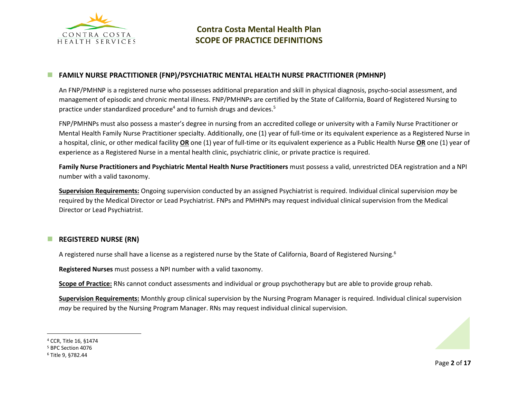

### ◼ **FAMILY NURSE PRACTITIONER (FNP)/PSYCHIATRIC MENTAL HEALTH NURSE PRACTITIONER (PMHNP)**

An FNP/PMHNP is a registered nurse who possesses additional preparation and skill in physical diagnosis, psycho-social assessment, and management of episodic and chronic mental illness. FNP/PMHNPs are certified by the State of California, Board of Registered Nursing to practice under standardized procedure<sup>4</sup> and to furnish drugs and devices.<sup>5</sup>

FNP/PMHNPs must also possess a master's degree in nursing from an accredited college or university with a Family Nurse Practitioner or Mental Health Family Nurse Practitioner specialty. Additionally, one (1) year of full-time or its equivalent experience as a Registered Nurse in a hospital, clinic, or other medical facility **OR** one (1) year of full-time or its equivalent experience as a Public Health Nurse **OR** one (1) year of experience as a Registered Nurse in a mental health clinic, psychiatric clinic, or private practice is required.

**Family Nurse Practitioners and Psychiatric Mental Health Nurse Practitioners** must possess a valid, unrestricted DEA registration and a NPI number with a valid taxonomy.

**Supervision Requirements:** Ongoing supervision conducted by an assigned Psychiatrist is required. Individual clinical supervision *may* be required by the Medical Director or Lead Psychiatrist. FNPs and PMHNPs may request individual clinical supervision from the Medical Director or Lead Psychiatrist.

### ◼ **REGISTERED NURSE (RN)**

A registered nurse shall have a license as a registered nurse by the State of California, Board of Registered Nursing.<sup>6</sup>

**Registered Nurses** must possess a NPI number with a valid taxonomy.

**Scope of Practice:** RNs cannot conduct assessments and individual or group psychotherapy but are able to provide group rehab.

**Supervision Requirements:** Monthly group clinical supervision by the Nursing Program Manager is required. Individual clinical supervision *may* be required by the Nursing Program Manager. RNs may request individual clinical supervision.

<sup>4</sup> CCR, Title 16, §1474

<sup>5</sup> BPC Section 4076

<sup>6</sup> Title 9, §782.44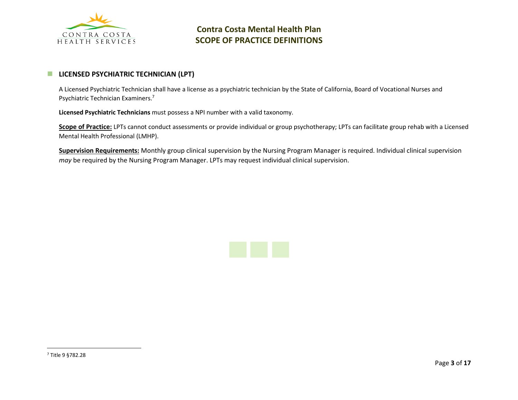

## **E** LICENSED PSYCHIATRIC TECHNICIAN (LPT)

A Licensed Psychiatric Technician shall have a license as a psychiatric technician by the State of California, Board of Vocational Nurses and Psychiatric Technician Examiners.<sup>7</sup>

**Licensed Psychiatric Technicians** must possess a NPI number with a valid taxonomy.

**Scope of Practice:** LPTs cannot conduct assessments or provide individual or group psychotherapy; LPTs can facilitate group rehab with a Licensed Mental Health Professional (LMHP).

**Supervision Requirements:** Monthly group clinical supervision by the Nursing Program Manager is required. Individual clinical supervision *may* be required by the Nursing Program Manager. LPTs may request individual clinical supervision.

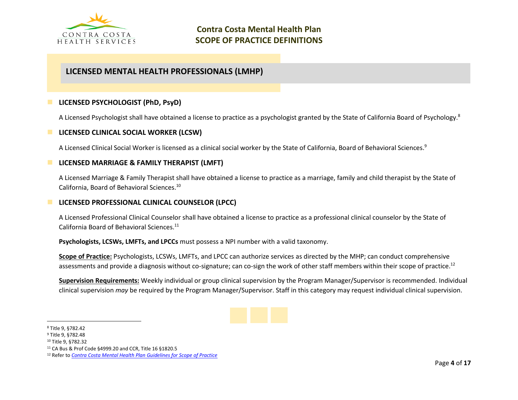

# **LICENSED MENTAL HEALTH PROFESSIONALS (LMHP)**

## ◼ **LICENSED PSYCHOLOGIST (PhD, PsyD)**

A Licensed Psychologist shall have obtained a license to practice as a psychologist granted by the State of California Board of Psychology.<sup>8</sup>

### ■ LICENSED CLINICAL SOCIAL WORKER (LCSW)

A Licensed Clinical Social Worker is licensed as a clinical social worker by the State of California, Board of Behavioral Sciences.<sup>9</sup>

### ◼ **LICENSED MARRIAGE & FAMILY THERAPIST (LMFT)**

A Licensed Marriage & Family Therapist shall have obtained a license to practice as a marriage, family and child therapist by the State of California, Board of Behavioral Sciences.<sup>10</sup>

### **LICENSED PROFESSIONAL CLINICAL COUNSELOR (LPCC)**

A Licensed Professional Clinical Counselor shall have obtained a license to practice as a professional clinical counselor by the State of California Board of Behavioral Sciences.<sup>11</sup>

**Psychologists, LCSWs, LMFTs, and LPCCs** must possess a NPI number with a valid taxonomy.

**Scope of Practice:** Psychologists, LCSWs, LMFTs, and LPCC can authorize services as directed by the MHP; can conduct comprehensive assessments and provide a diagnosis without co-signature; can co-sign the work of other staff members within their scope of practice.<sup>12</sup>

**Supervision Requirements:** Weekly individual or group clinical supervision by the Program Manager/Supervisor is recommended. Individual clinical supervision *may* be required by the Program Manager/Supervisor. Staff in this category may request individual clinical supervision.



<sup>8</sup> Title 9, §782.42

<sup>9</sup> Title 9, §782.48

<sup>10</sup> Title 9, §782.32

<sup>11</sup> CA Bus & Prof Code §4999.20 and CCR, Title 16 §1820.5

<sup>12</sup> Refer to *[Contra Costa Mental Health Plan Guidelines for Scope of Practice](https://cchealth.org/mentalhealth/provider/pdf/Scope-of-Practice-Guidelines.pdf)*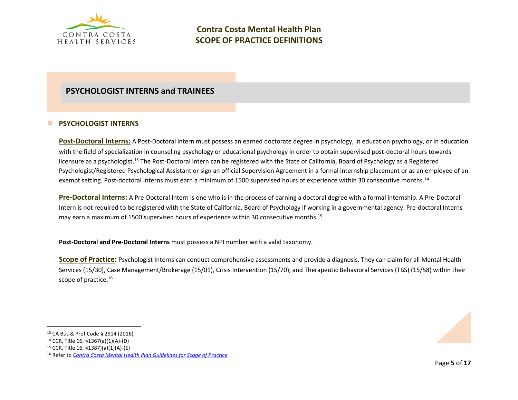

# **PSYCHOLOGIST INTERNS and TRAINEES**

## ■ **PSYCHOLOGIST INTERNS**

Post-Doctoral Interns: A Post-Doctoral intern must possess an earned doctorate degree in psychology, in education psychology, or in education with the field of specialization in counseling psychology or educational psychology in order to obtain supervised post-doctoral hours towards licensure as a psychologist.<sup>13</sup> The Post-Doctoral intern can be registered with the State of California, Board of Psychology as a Registered Psychologist/Registered Psychological Assistant or sign an official Supervision Agreement in a formal internship placement or as an employee of an exempt setting. Post-doctoral Interns must earn a minimum of 1500 supervised hours of experience within 30 consecutive months.<sup>14</sup>

**Pre-Doctoral Interns:** A Pre-Doctoral Intern is one who is in the process of earning a doctoral degree with a formal internship. A Pre-Doctoral Intern is not required to be registered with the State of California, Board of Psychology if working in a governmental agency. Pre-doctoral Interns may earn a maximum of 1500 supervised hours of experience within 30 consecutive months.<sup>15</sup>

**Post-Doctoral and Pre-Doctoral Interns** must possess a NPI number with a valid taxonomy.

**Scope of Practice**: Psychologist Interns can conduct comprehensive assessments and provide a diagnosis. They can claim for all Mental Health Services (15/30), Case Management/Brokerage (15/01), Crisis Intervention (15/70), and Therapeutic Behavioral Services (TBS) (15/58) within their scope of practice.<sup>16</sup>

<sup>13</sup> CA Bus & Prof Code § 2914 (2016)

<sup>14</sup> CCR, Title 16, §1367(a)(1)(A)-(D)

<sup>15</sup> CCR, Title 16, §1387)(a)(1)(A)-(E)

<sup>16</sup> Refer to *[Contra Costa Mental Health Plan Guidelines for Scope of Practice](https://cchealth.org/mentalhealth/provider/pdf/Scope-of-Practice-Guidelines.pdf)*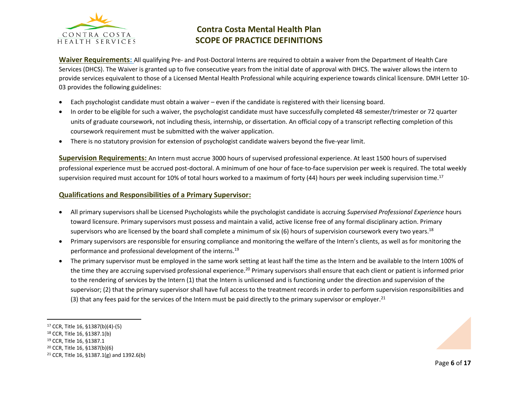

**Waiver Requirements:** All qualifying Pre- and Post-Doctoral Interns are required to obtain a waiver from the Department of Health Care Services (DHCS). The Waiver is granted up to five consecutive years from the initial date of approval with DHCS. The waiver allows the intern to provide services equivalent to those of a Licensed Mental Health Professional while acquiring experience towards clinical licensure. DMH Letter 10- 03 provides the following guidelines:

- Each psychologist candidate must obtain a waiver even if the candidate is registered with their licensing board.
- In order to be eligible for such a waiver, the psychologist candidate must have successfully completed 48 semester/trimester or 72 quarter units of graduate coursework, not including thesis, internship, or dissertation. An official copy of a transcript reflecting completion of this coursework requirement must be submitted with the waiver application.
- There is no statutory provision for extension of psychologist candidate waivers beyond the five-year limit.

**Supervision Requirements:** An Intern must accrue 3000 hours of supervised professional experience. At least 1500 hours of supervised professional experience must be accrued post-doctoral. A minimum of one hour of face-to-face supervision per week is required. The total weekly supervision required must account for 10% of total hours worked to a maximum of forty (44) hours per week including supervision time.<sup>17</sup>

## **Qualifications and Responsibilities of a Primary Supervisor:**

- All primary supervisors shall be Licensed Psychologists while the psychologist candidate is accruing *Supervised Professional Experience* hours toward licensure. Primary supervisors must possess and maintain a valid, active license free of any formal disciplinary action. Primary supervisors who are licensed by the board shall complete a minimum of six (6) hours of supervision coursework every two years.<sup>18</sup>
- Primary supervisors are responsible for ensuring compliance and monitoring the welfare of the Intern's clients, as well as for monitoring the performance and professional development of the interns.<sup>19</sup>
- The primary supervisor must be employed in the same work setting at least half the time as the Intern and be available to the Intern 100% of the time they are accruing supervised professional experience.<sup>20</sup> Primary supervisors shall ensure that each client or patient is informed prior to the rendering of services by the Intern (1) that the Intern is unlicensed and is functioning under the direction and supervision of the supervisor; (2) that the primary supervisor shall have full access to the treatment records in order to perform supervision responsibilities and (3) that any fees paid for the services of the Intern must be paid directly to the primary supervisor or employer.<sup>21</sup>

<sup>20</sup> CCR, Title 16, §1387(b)(6)

<sup>17</sup> CCR, Title 16, §1387(b)(4)-(5)

<sup>18</sup> CCR, Title 16, §1387.1(b)

<sup>19</sup> CCR, Title 16, §1387.1

<sup>&</sup>lt;sup>21</sup> CCR, Title 16, §1387.1(g) and 1392.6(b)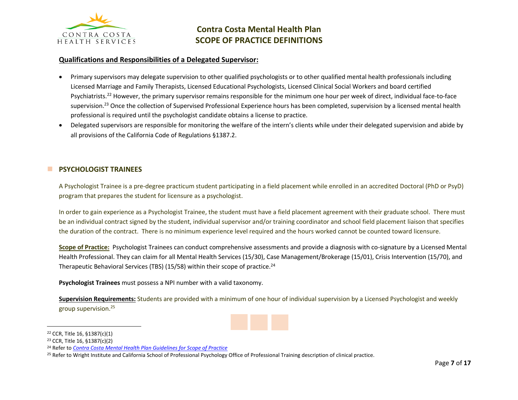

### **Qualifications and Responsibilities of a Delegated Supervisor:**

- Primary supervisors may delegate supervision to other qualified psychologists or to other qualified mental health professionals including Licensed Marriage and Family Therapists, Licensed Educational Psychologists, Licensed Clinical Social Workers and board certified Psychiatrists.<sup>22</sup> However, the primary supervisor remains responsible for the minimum one hour per week of direct, individual face-to-face supervision.<sup>23</sup> Once the collection of Supervised Professional Experience hours has been completed, supervision by a licensed mental health professional is required until the psychologist candidate obtains a license to practice.
- Delegated supervisors are responsible for monitoring the welfare of the intern's clients while under their delegated supervision and abide by all provisions of the California Code of Regulations §1387.2.

### **E** PSYCHOLOGIST TRAINEES

A Psychologist Trainee is a pre-degree practicum student participating in a field placement while enrolled in an accredited Doctoral (PhD or PsyD) program that prepares the student for licensure as a psychologist.

In order to gain experience as a Psychologist Trainee, the student must have a field placement agreement with their graduate school. There must be an individual contract signed by the student, individual supervisor and/or training coordinator and school field placement liaison that specifies the duration of the contract. There is no minimum experience level required and the hours worked cannot be counted toward licensure.

**Scope of Practice:** Psychologist Trainees can conduct comprehensive assessments and provide a diagnosis with co-signature by a Licensed Mental Health Professional. They can claim for all Mental Health Services (15/30), Case Management/Brokerage (15/01), Crisis Intervention (15/70), and Therapeutic Behavioral Services (TBS) (15/58) within their scope of practice.<sup>24</sup>

**Psychologist Trainees** must possess a NPI number with a valid taxonomy.

**Supervision Requirements:** Students are provided with a minimum of one hour of individual supervision by a Licensed Psychologist and weekly group supervision.<sup>25</sup>

<sup>22</sup> CCR, Title 16, §1387(c)(1)

<sup>23</sup> CCR, Title 16, §1387(c)(2)

<sup>24</sup> Refer to *[Contra Costa Mental Health Plan Guidelines for Scope of Practice](https://cchealth.org/mentalhealth/provider/pdf/Scope-of-Practice-Guidelines.pdf)*

<sup>&</sup>lt;sup>25</sup> Refer to Wright Institute and California School of Professional Psychology Office of Professional Training description of clinical practice.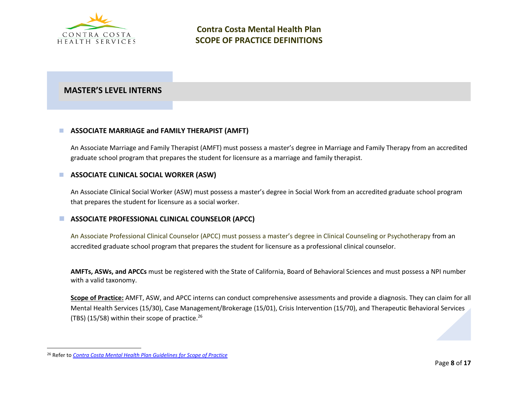

# **MASTER'S LEVEL INTERNS**

### ■ ASSOCIATE MARRIAGE and FAMILY THERAPIST (AMFT)

An Associate Marriage and Family Therapist (AMFT) must possess a master's degree in Marriage and Family Therapy from an accredited graduate school program that prepares the student for licensure as a marriage and family therapist.

### ■ **ASSOCIATE CLINICAL SOCIAL WORKER (ASW)**

An Associate Clinical Social Worker (ASW) must possess a master's degree in Social Work from an accredited graduate school program that prepares the student for licensure as a social worker.

## ■ ASSOCIATE PROFESSIONAL CLINICAL COUNSELOR (APCC)

An Associate Professional Clinical Counselor (APCC) must possess a master's degree in Clinical Counseling or Psychotherapy from an accredited graduate school program that prepares the student for licensure as a professional clinical counselor.

**AMFTs, ASWs, and APCCs** must be registered with the State of California, Board of Behavioral Sciences and must possess a NPI number with a valid taxonomy.

**Scope of Practice:** AMFT, ASW, and APCC interns can conduct comprehensive assessments and provide a diagnosis. They can claim for all Mental Health Services (15/30), Case Management/Brokerage (15/01), Crisis Intervention (15/70), and Therapeutic Behavioral Services (TBS) (15/58) within their scope of practice.<sup>26</sup>

<sup>26</sup> Refer to *[Contra Costa Mental Health Plan](https://cchealth.org/mentalhealth/provider/pdf/Scope-of-Practice-Guidelines.pdf) Guidelines for Scope of Practice*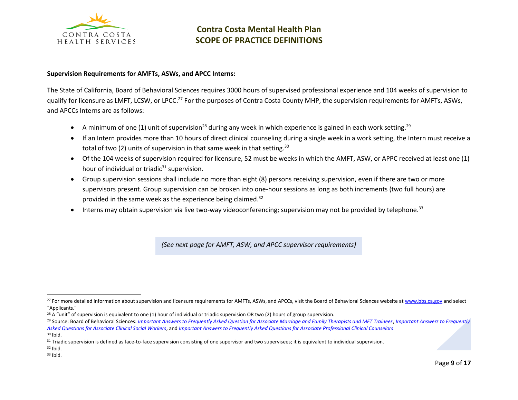

#### **Supervision Requirements for AMFTs, ASWs, and APCC Interns:**

The State of California, Board of Behavioral Sciences requires 3000 hours of supervised professional experience and 104 weeks of supervision to qualify for licensure as LMFT, LCSW, or LPCC.<sup>27</sup> For the purposes of Contra Costa County MHP, the supervision requirements for AMFTs, ASWs, and APCCs Interns are as follows:

- A minimum of one (1) unit of supervision<sup>28</sup> during any week in which experience is gained in each work setting.<sup>29</sup>
- If an Intern provides more than 10 hours of direct clinical counseling during a single week in a work setting, the Intern must receive a total of two (2) units of supervision in that same week in that setting.<sup>30</sup>
- Of the 104 weeks of supervision required for licensure, 52 must be weeks in which the AMFT, ASW, or APPC received at least one (1) hour of individual or triadic $31$  supervision.
- Group supervision sessions shall include no more than eight (8) persons receiving supervision, even if there are two or more supervisors present. Group supervision can be broken into one-hour sessions as long as both increments (two full hours) are provided in the same week as the experience being claimed.<sup>32</sup>
- $\bullet$  Interns may obtain supervision via live two-way videoconferencing; supervision may not be provided by telephone.<sup>33</sup>

*(See next page for AMFT, ASW, and APCC supervisor requirements)*

<sup>&</sup>lt;sup>27</sup> For more detailed information about supervision and licensure requirements for AMFTs, ASWs, and APCCs, visit the Board of Behavioral Sciences website a[t www.bbs.ca.gov](http://www.bbs.ca.gov/) and select "Applicants."

 $28$  A "unit" of supervision is equivalent to one (1) hour of individual or triadic supervision OR two (2) hours of group supervision.

<sup>29</sup> Source: Board of Behavioral Sciences: *[Important Answers to Frequently Asked Question for Associate Marriage and Family Therapists and MFT Trainees](https://www.bbs.ca.gov/pdf/publications/mft_faq.pdf)*, *[Important Answers to Frequently](https://www.bbs.ca.gov/pdf/publications/asw_faq.pdf)  [Asked Questions for Associate Clinical Social Workers](https://www.bbs.ca.gov/pdf/publications/asw_faq.pdf)*, and *[Important Answers to Frequently Asked Questions for Associate Professional Clinical Counselors](https://www.bbs.ca.gov/pdf/publications/pcci_faq.pdf)* <sup>30</sup> Ibid.

<sup>&</sup>lt;sup>31</sup> Triadic supervision is defined as face-to-face supervision consisting of one supervisor and two supervisees; it is equivalent to individual supervision.

 $32$  Ibid.

<sup>33</sup> Ibid.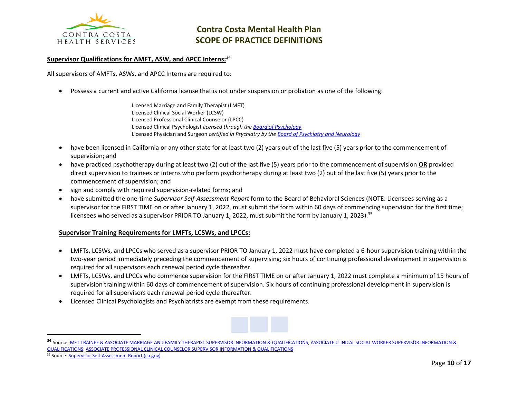

#### **Supervisor Qualifications for AMFT, ASW, and APCC Interns:**<sup>34</sup>

All supervisors of AMFTs, ASWs, and APCC Interns are required to:

• Possess a current and active California license that is not under suspension or probation as one of the following:

Licensed Marriage and Family Therapist (LMFT) Licensed Clinical Social Worker (LCSW) Licensed Professional Clinical Counselor (LPCC) Licensed Clinical Psychologist *licensed through the [Board of Psychology](https://www.psychology.ca.gov/)* Licensed Physician and Surgeon *certified in Psychiatry by th[e Board of Psychiatry and Neurology](https://www.abpn.com/)*

- have been licensed in California or any other state for at least two (2) years out of the last five (5) years prior to the commencement of supervision; and
- have practiced psychotherapy during at least two (2) out of the last five (5) years prior to the commencement of supervision **OR** provided direct supervision to trainees or interns who perform psychotherapy during at least two (2) out of the last five (5) years prior to the commencement of supervision; and
- sign and comply with required supervision-related forms; and
- have submitted the one-time *Supervisor Self-Assessment Report* form to the Board of Behavioral Sciences (NOTE: Licensees serving as a supervisor for the FIRST TIME on or after January 1, 2022, must submit the form within 60 days of commencing supervision for the first time; licensees who served as a supervisor PRIOR TO January 1, 2022, must submit the form by January 1, 2023).<sup>35</sup>

#### **Supervisor Training Requirements for LMFTs, LCSWs, and LPCCs:**

- LMFTs, LCSWs, and LPCCs who served as a supervisor PRIOR TO January 1, 2022 must have completed a 6-hour supervision training within the two-year period immediately preceding the commencement of supervising; six hours of continuing professional development in supervision is required for all supervisors each renewal period cycle thereafter.
- LMFTs, LCSWs, and LPCCs who commence supervision for the FIRST TIME on or after January 1, 2022 must complete a minimum of 15 hours of supervision training within 60 days of commencement of supervision. Six hours of continuing professional development in supervision is required for all supervisors each renewal period cycle thereafter.
- Licensed Clinical Psychologists and Psychiatrists are exempt from these requirements.



<sup>&</sup>lt;sup>34</sup> Source[: MFT TRAINEE & ASSOCIATE MARRIAGE AND FAMILY THERAPIST SUPERVISOR INFORMATION & QUALIFICATIONS;](https://www.bbs.ca.gov/pdf/forms/mft/mft_supervisor_information.pdf) ASSOCIATE CLINICAL SOCIAL WORKER SUPERVISOR INFORMATION & [QUALIFICATIONS;](https://www.bbs.ca.gov/pdf/forms/lcs/asw_supervisor_info.pdf) [ASSOCIATE PROFESSIONAL CLINICAL COUNSELOR SUPERVISOR INFORMATION & QUALIFICATIONS](https://www.bbs.ca.gov/pdf/forms/lpc/lpc_supervisor_information.pdf)

<sup>35</sup> Source[: Supervisor Self-Assessment Report \(ca.gov\)](https://www.bbs.ca.gov/pdf/forms/supervisor_self_assessment.pdf)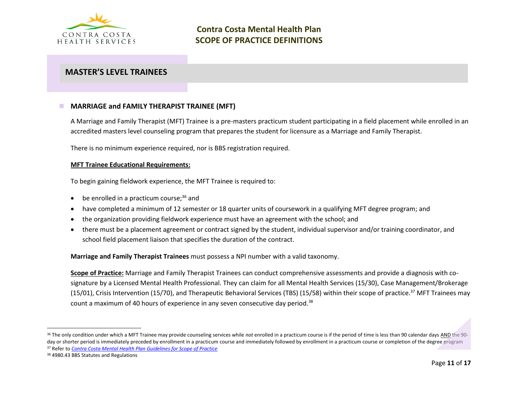

# **MASTER'S LEVEL TRAINEES**

## ◼ **MARRIAGE and FAMILY THERAPIST TRAINEE (MFT)**

A Marriage and Family Therapist (MFT) Trainee is a pre-masters practicum student participating in a field placement while enrolled in an accredited masters level counseling program that prepares the student for licensure as a Marriage and Family Therapist.

There is no minimum experience required, nor is BBS registration required.

#### **MFT Trainee Educational Requirements:**

To begin gaining fieldwork experience, the MFT Trainee is required to:

- be enrolled in a practicum course;<sup>36</sup> and
- have completed a minimum of 12 semester or 18 quarter units of coursework in a qualifying MFT degree program; and
- the organization providing fieldwork experience must have an agreement with the school; and
- there must be a placement agreement or contract signed by the student, individual supervisor and/or training coordinator, and school field placement liaison that specifies the duration of the contract.

**Marriage and Family Therapist Trainees** must possess a NPI number with a valid taxonomy.

**Scope of Practice:** Marriage and Family Therapist Trainees can conduct comprehensive assessments and provide a diagnosis with cosignature by a Licensed Mental Health Professional. They can claim for all Mental Health Services (15/30), Case Management/Brokerage (15/01), Crisis Intervention (15/70), and Therapeutic Behavioral Services (TBS) (15/58) within their scope of practice.<sup>37</sup> MFT Trainees may count a maximum of 40 hours of experience in any seven consecutive day period.<sup>38</sup>

<sup>&</sup>lt;sup>36</sup> The only condition under which a MFT Trainee may provide counseling services while not enrolled in a practicum course is if the period of time is less than 90 calendar days AND the 90day or shorter period is immediately preceded by enrollment in a practicum course and immediately followed by enrollment in a practicum course or completion of the degree program <sup>37</sup> Refer to *[Contra Costa Mental Health Plan Guidelines for Scope of Practice](https://cchealth.org/mentalhealth/provider/pdf/Scope-of-Practice-Guidelines.pdf)*

<sup>38</sup> 4980.43 BBS Statutes and Regulations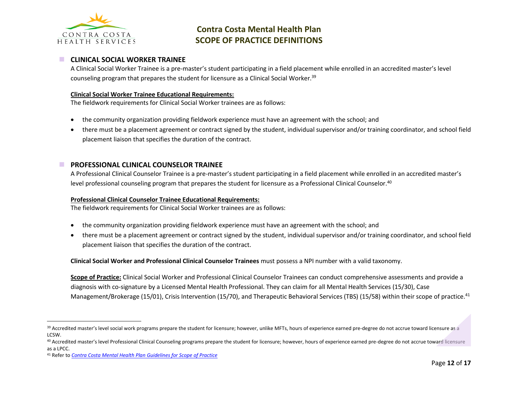

### ◼ **CLINICAL SOCIAL WORKER TRAINEE**

A Clinical Social Worker Trainee is a pre-master's student participating in a field placement while enrolled in an accredited master's level counseling program that prepares the student for licensure as a Clinical Social Worker.<sup>39</sup>

#### **Clinical Social Worker Trainee Educational Requirements:**

The fieldwork requirements for Clinical Social Worker trainees are as follows:

- the community organization providing fieldwork experience must have an agreement with the school; and
- there must be a placement agreement or contract signed by the student, individual supervisor and/or training coordinator, and school field placement liaison that specifies the duration of the contract.

### ■ **PROFESSIONAL CLINICAL COUNSELOR TRAINEE**

A Professional Clinical Counselor Trainee is a pre-master's student participating in a field placement while enrolled in an accredited master's level professional counseling program that prepares the student for licensure as a Professional Clinical Counselor.<sup>40</sup>

#### **Professional Clinical Counselor Trainee Educational Requirements:**

The fieldwork requirements for Clinical Social Worker trainees are as follows:

- the community organization providing fieldwork experience must have an agreement with the school; and
- there must be a placement agreement or contract signed by the student, individual supervisor and/or training coordinator, and school field placement liaison that specifies the duration of the contract.

**Clinical Social Worker and Professional Clinical Counselor Trainees** must possess a NPI number with a valid taxonomy.

**Scope of Practice:** Clinical Social Worker and Professional Clinical Counselor Trainees can conduct comprehensive assessments and provide a diagnosis with co-signature by a Licensed Mental Health Professional. They can claim for all Mental Health Services (15/30), Case Management/Brokerage (15/01), Crisis Intervention (15/70), and Therapeutic Behavioral Services (TBS) (15/58) within their scope of practice.<sup>41</sup>

<sup>&</sup>lt;sup>39</sup> Accredited master's level social work programs prepare the student for licensure; however, unlike MFTs, hours of experience earned pre-degree do not accrue toward licensure as a LCSW.

<sup>&</sup>lt;sup>40</sup> Accredited master's level Professional Clinical Counseling programs prepare the student for licensure; however, hours of experience earned pre-degree do not accrue toward licensure as a LPCC.

<sup>41</sup> Refer to *[Contra Costa Mental Health Plan](https://cchealth.org/mentalhealth/provider/pdf/Scope-of-Practice-Guidelines.pdf) Guidelines for Scope of Practice*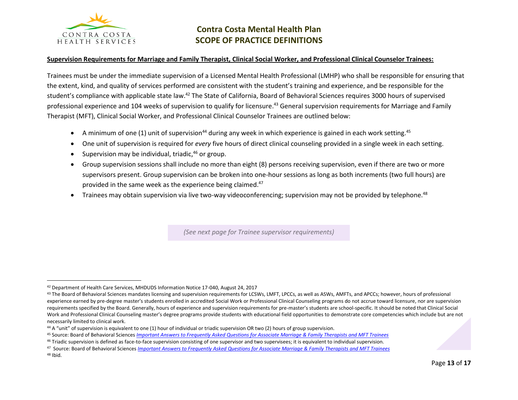

#### **Supervision Requirements for Marriage and Family Therapist, Clinical Social Worker, and Professional Clinical Counselor Trainees:**

Trainees must be under the immediate supervision of a Licensed Mental Health Professional (LMHP) who shall be responsible for ensuring that the extent, kind, and quality of services performed are consistent with the student's training and experience, and be responsible for the student's compliance with applicable state law.<sup>42</sup> The State of California, Board of Behavioral Sciences requires 3000 hours of supervised professional experience and 104 weeks of supervision to qualify for licensure.<sup>43</sup> General supervision requirements for Marriage and Family Therapist (MFT), Clinical Social Worker, and Professional Clinical Counselor Trainees are outlined below:

- A minimum of one (1) unit of supervision<sup>44</sup> during any week in which experience is gained in each work setting.<sup>45</sup>
- One unit of supervision is required for *every* five hours of direct clinical counseling provided in a single week in each setting.
- Supervision may be individual, triadic,<sup>46</sup> or group.
- Group supervision sessions shall include no more than eight (8) persons receiving supervision, even if there are two or more supervisors present. Group supervision can be broken into one-hour sessions as long as both increments (two full hours) are provided in the same week as the experience being claimed.<sup>47</sup>
- Trainees may obtain supervision via live two-way videoconferencing; supervision may not be provided by telephone.<sup>48</sup>

(See next page for Trainee supervisor requirements)

<sup>42</sup> Department of Health Care Services, MHDUDS Information Notice 17-040, August 24, 2017

<sup>&</sup>lt;sup>43</sup> The Board of Behavioral Sciences mandates licensing and supervision requirements for LCSWs, LMFT, LPCCs, as well as ASWs, AMFTs, and APCCs; however, hours of professional experience earned by pre-degree master's students enrolled in accredited Social Work or Professional Clinical Counseling programs do not accrue toward licensure, nor are supervision requirements specified by the Board. Generally, hours of experience and supervision requirements for pre-master's students are school-specific. It should be noted that Clinical Social Work and Professional Clinical Counseling master's degree programs provide students with educational field opportunities to demonstrate core competencies which include but are not necessarily limited to clinical work.

 $44$  A "unit" of supervision is equivalent to one (1) hour of individual or triadic supervision OR two (2) hours of group supervision.

<sup>45</sup> Source: Board of Behavioral Sciences *[Important Answers to Frequently Asked Questions for Associate Marriage & Family Therapists and MFT Trainees](https://www.bbs.ca.gov/pdf/publications/pcci_faq.pdf)*

<sup>&</sup>lt;sup>46</sup> Triadic supervision is defined as face-to-face supervision consisting of one supervisor and two supervisees; it is equivalent to individual supervision.

<sup>47</sup> Source: Board of Behavioral Sciences *[Important Answers to Frequently Asked Questions for Associate Marriage & Family Therapists and MFT Trainees](https://www.bbs.ca.gov/pdf/publications/pcci_faq.pdf)* <sup>48</sup> Ibid.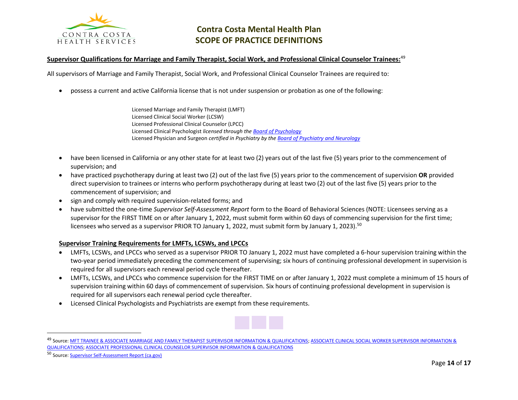

#### **Supervisor Qualifications for Marriage and Family Therapist, Social Work, and Professional Clinical Counselor Trainees:**<sup>49</sup>

All supervisors of Marriage and Family Therapist, Social Work, and Professional Clinical Counselor Trainees are required to:

• possess a current and active California license that is not under suspension or probation as one of the following:

Licensed Marriage and Family Therapist (LMFT) Licensed Clinical Social Worker (LCSW) Licensed Professional Clinical Counselor (LPCC) Licensed Clinical Psychologist *licensed through the [Board of Psychology](https://www.psychology.ca.gov/)* Licensed Physician and Surgeon *certified in Psychiatry by th[e Board of Psychiatry and Neurology](https://www.abpn.com/)*

- have been licensed in California or any other state for at least two (2) years out of the last five (5) years prior to the commencement of supervision; and
- have practiced psychotherapy during at least two (2) out of the last five (5) years prior to the commencement of supervision **OR** provided direct supervision to trainees or interns who perform psychotherapy during at least two (2) out of the last five (5) years prior to the commencement of supervision; and
- sign and comply with required supervision-related forms; and
- have submitted the one-time *Supervisor Self-Assessment Report* form to the Board of Behavioral Sciences (NOTE: Licensees serving as a supervisor for the FIRST TIME on or after January 1, 2022, must submit form within 60 days of commencing supervision for the first time; licensees who served as a supervisor PRIOR TO January 1, 2022, must submit form by January 1, 2023).<sup>50</sup>

#### **Supervisor Training Requirements for LMFTs, LCSWs, and LPCCs**

- LMFTs, LCSWs, and LPCCs who served as a supervisor PRIOR TO January 1, 2022 must have completed a 6-hour supervision training within the two-year period immediately preceding the commencement of supervising; six hours of continuing professional development in supervision is required for all supervisors each renewal period cycle thereafter.
- LMFTs, LCSWs, and LPCCs who commence supervision for the FIRST TIME on or after January 1, 2022 must complete a minimum of 15 hours of supervision training within 60 days of commencement of supervision. Six hours of continuing professional development in supervision is required for all supervisors each renewal period cycle thereafter.
- Licensed Clinical Psychologists and Psychiatrists are exempt from these requirements.



<sup>49</sup> Source[: MFT TRAINEE & ASSOCIATE MARRIAGE AND FAMILY THERAPIST SUPERVISOR INFORMATION & QUALIFICATIONS;](https://www.bbs.ca.gov/pdf/forms/mft/mft_supervisor_information.pdf) [ASSOCIATE CLINICAL SOCIAL WORKER SUPERVISOR INFORMATION &](https://www.bbs.ca.gov/pdf/forms/lcs/asw_supervisor_info.pdf)  [QUALIFICATIONS;](https://www.bbs.ca.gov/pdf/forms/lcs/asw_supervisor_info.pdf) [ASSOCIATE PROFESSIONAL CLINICAL COUNSELOR SUPERVISOR INFORMATION & QUALIFICATIONS](https://www.bbs.ca.gov/pdf/forms/lpc/lpc_supervisor_information.pdf)

<sup>50</sup> Source[: Supervisor Self-Assessment Report \(ca.gov\)](https://www.bbs.ca.gov/pdf/forms/supervisor_self_assessment.pdf)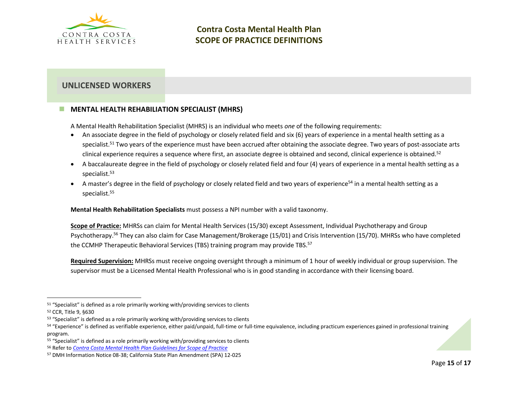

## **UNLICENSED WORKERS**

## **MENTAL HEALTH REHABILIATION SPECIALIST (MHRS)**

A Mental Health Rehabilitation Specialist (MHRS) is an individual who meets *one* of the following requirements:

- An associate degree in the field of psychology or closely related field and six (6) years of experience in a mental health setting as a specialist.<sup>51</sup> Two years of the experience must have been accrued after obtaining the associate degree. Two years of post-associate arts clinical experience requires a sequence where first, an associate degree is obtained and second, clinical experience is obtained.<sup>52</sup>
- A baccalaureate degree in the field of psychology or closely related field and four (4) years of experience in a mental health setting as a specialist. 53
- A master's degree in the field of psychology or closely related field and two years of experience<sup>54</sup> in a mental health setting as a specialist. 55

**Mental Health Rehabilitation Specialists** must possess a NPI number with a valid taxonomy.

**Scope of Practice:** MHRSs can claim for Mental Health Services (15/30) except Assessment, Individual Psychotherapy and Group Psychotherapy.<sup>56</sup> They can also claim for Case Management/Brokerage (15/01) and Crisis Intervention (15/70). MHRSs who have completed the CCMHP Therapeutic Behavioral Services (TBS) training program may provide TBS.<sup>57</sup>

**Required Supervision:** MHRSs must receive ongoing oversight through a minimum of 1 hour of weekly individual or group supervision. The supervisor must be a Licensed Mental Health Professional who is in good standing in accordance with their licensing board.

<sup>51</sup> "Specialist" is defined as a role primarily working with/providing services to clients

<sup>52</sup> CCR, Title 9, §630

<sup>&</sup>lt;sup>53</sup> "Specialist" is defined as a role primarily working with/providing services to clients

<sup>&</sup>lt;sup>54</sup> "Experience" is defined as verifiable experience, either paid/unpaid, full-time or full-time equivalence, including practicum experiences gained in professional training program.

 $55$  "Specialist" is defined as a role primarily working with/providing services to clients

<sup>56</sup> Refer to *[Contra Costa Mental Health Plan Guidelines for Scope of Practice](https://cchealth.org/mentalhealth/provider/pdf/Scope-of-Practice-Guidelines.pdf)*

<sup>57</sup> DMH Information Notice 08-38; California State Plan Amendment (SPA) 12-025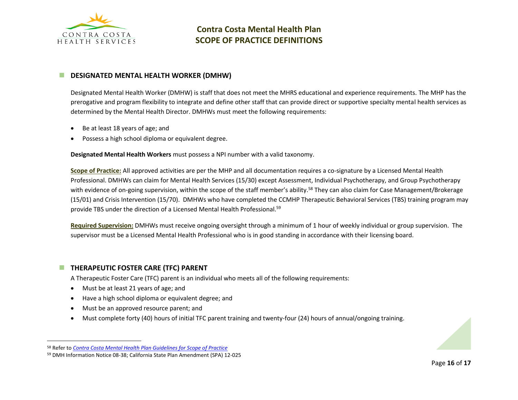

### ◼ **DESIGNATED MENTAL HEALTH WORKER (DMHW)**

Designated Mental Health Worker (DMHW) is staff that does not meet the MHRS educational and experience requirements. The MHP has the prerogative and program flexibility to integrate and define other staff that can provide direct or supportive specialty mental health services as determined by the Mental Health Director. DMHWs must meet the following requirements:

- Be at least 18 years of age; and
- Possess a high school diploma or equivalent degree.

**Designated Mental Health Workers** must possess a NPI number with a valid taxonomy.

**Scope of Practice:** All approved activities are per the MHP and all documentation requires a co-signature by a Licensed Mental Health Professional. DMHWs can claim for Mental Health Services (15/30) except Assessment, Individual Psychotherapy, and Group Psychotherapy with evidence of on-going supervision, within the scope of the staff member's ability.<sup>58</sup> They can also claim for Case Management/Brokerage (15/01) and Crisis Intervention (15/70). DMHWs who have completed the CCMHP Therapeutic Behavioral Services (TBS) training program may provide TBS under the direction of a Licensed Mental Health Professional.<sup>59</sup>

**Required Supervision:** DMHWs must receive ongoing oversight through a minimum of 1 hour of weekly individual or group supervision. The supervisor must be a Licensed Mental Health Professional who is in good standing in accordance with their licensing board.

## ■ **THERAPEUTIC FOSTER CARE (TFC) PARENT**

A Therapeutic Foster Care (TFC) parent is an individual who meets all of the following requirements:

- Must be at least 21 years of age; and
- Have a high school diploma or equivalent degree; and
- Must be an approved resource parent; and
- Must complete forty (40) hours of initial TFC parent training and twenty-four (24) hours of annual/ongoing training.



<sup>58</sup> Refer to *[Contra Costa Mental Health Plan Guidelines for Scope of Practice](https://cchealth.org/mentalhealth/provider/pdf/Scope-of-Practice-Guidelines.pdf)*

<sup>59</sup> DMH Information Notice 08-38; California State Plan Amendment (SPA) 12-025